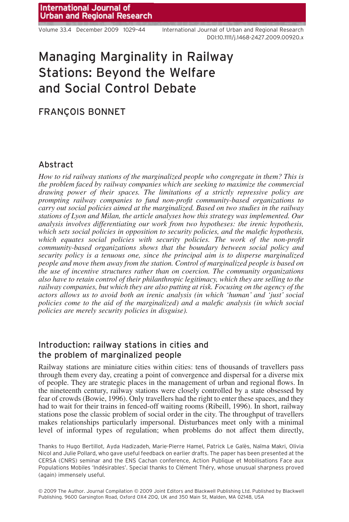Volume 33.4 December 2009 1029–44 International Journal of Urban and Regional Research DOI:10.1111/j.1468-2427.2009.00920.x

# Managing Marginality in Railway Stations: Beyond the Welfare and Social Control Debate

# FRANÇOIS BONNET

## Abstract

*How to rid railway stations of the marginalized people who congregate in them? This is the problem faced by railway companies which are seeking to maximize the commercial drawing power of their spaces. The limitations of a strictly repressive policy are prompting railway companies to fund non-profit community-based organizations to carry out social policies aimed at the marginalized. Based on two studies in the railway stations of Lyon and Milan, the article analyses how this strategy was implemented. Our analysis involves differentiating our work from two hypotheses: the irenic hypothesis, which sets social policies in opposition to security policies, and the malefic hypothesis, which equates social policies with security policies. The work of the non-profit community-based organizations shows that the boundary between social policy and security policy is a tenuous one, since the principal aim is to disperse marginalized people and move them away from the station. Control of marginalized people is based on the use of incentive structures rather than on coercion. The community organizations also have to retain control of their philanthropic legitimacy, which they are selling to the railway companies, but which they are also putting at risk. Focusing on the agency of the actors allows us to avoid both an irenic analysis (in which 'human' and 'just' social policies come to the aid of the marginalized) and a malefic analysis (in which social policies are merely security policies in disguise).*

# Introduction: railway stations in cities and the problem of marginalized people

Railway stations are miniature cities within cities: tens of thousands of travellers pass through them every day, creating a point of convergence and dispersal for a diverse mix of people. They are strategic places in the management of urban and regional flows. In the nineteenth century, railway stations were closely controlled by a state obsessed by fear of crowds (Bowie, 1996). Only travellers had the right to enter these spaces, and they had to wait for their trains in fenced-off waiting rooms (Ribeill, 1996). In short, railway stations pose the classic problem of social order in the city. The throughput of travellers makes relationships particularly impersonal. Disturbances meet only with a minimal level of informal types of regulation; when problems do not affect them directly,

Thanks to Hugo Bertillot, Ayda Hadizadeh, Marie-Pierre Hamel, Patrick Le Galès, Naïma Makri, Olivia Nicol and Julie Pollard, who gave useful feedback on earlier drafts. The paper has been presented at the CERSA (CNRS) seminar and the ENS Cachan conference, Action Publique et Mobilisations Face aux Populations Mobiles 'Indésirables'. Special thanks to Clément Théry, whose unusual sharpness proved (again) immensely useful.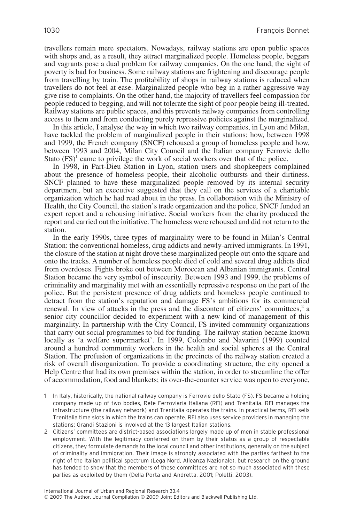travellers remain mere spectators. Nowadays, railway stations are open public spaces with shops and, as a result, they attract marginalized people. Homeless people, beggars and vagrants pose a dual problem for railway companies. On the one hand, the sight of poverty is bad for business. Some railway stations are frightening and discourage people from travelling by train. The profitability of shops in railway stations is reduced when travellers do not feel at ease. Marginalized people who beg in a rather aggressive way give rise to complaints. On the other hand, the majority of travellers feel compassion for people reduced to begging, and will not tolerate the sight of poor people being ill-treated. Railway stations are public spaces, and this prevents railway companies from controlling access to them and from conducting purely repressive policies against the marginalized.

In this article, I analyse the way in which two railway companies, in Lyon and Milan, have tackled the problem of marginalized people in their stations: how, between 1998 and 1999, the French company (SNCF) rehoused a group of homeless people and how, between 1993 and 2004, Milan City Council and the Italian company Ferrovie dello Stato  $(FS)^1$  came to privilege the work of social workers over that of the police.

In 1998, in Part-Dieu Station in Lyon, station users and shopkeepers complained about the presence of homeless people, their alcoholic outbursts and their dirtiness. SNCF planned to have these marginalized people removed by its internal security department, but an executive suggested that they call on the services of a charitable organization which he had read about in the press. In collaboration with the Ministry of Health, the City Council, the station's trade organization and the police, SNCF funded an expert report and a rehousing initiative. Social workers from the charity produced the report and carried out the initiative. The homeless were rehoused and did not return to the station.

In the early 1990s, three types of marginality were to be found in Milan's Central Station: the conventional homeless, drug addicts and newly-arrived immigrants. In 1991, the closure of the station at night drove these marginalized people out onto the square and onto the tracks. A number of homeless people died of cold and several drug addicts died from overdoses. Fights broke out between Moroccan and Albanian immigrants. Central Station became the very symbol of insecurity. Between 1993 and 1999, the problems of criminality and marginality met with an essentially repressive response on the part of the police. But the persistent presence of drug addicts and homeless people continued to detract from the station's reputation and damage FS's ambitions for its commercial renewal. In view of attacks in the press and the discontent of citizens' committees, $\frac{2}{3}$  a senior city councillor decided to experiment with a new kind of management of this marginality. In partnership with the City Council, FS invited community organizations that carry out social programmes to bid for funding. The railway station became known locally as 'a welfare supermarket'. In 1999, Colombo and Navarini (1999) counted around a hundred community workers in the health and social spheres at the Central Station. The profusion of organizations in the precincts of the railway station created a risk of overall disorganization. To provide a coordinating structure, the city opened a Help Centre that had its own premises within the station, in order to streamline the offer of accommodation, food and blankets; its over-the-counter service was open to everyone,

- 1 In Italy, historically, the national railway company is Ferrovie dello Stato (FS). FS became a holding company made up of two bodies, Rete Ferroviaria Italiana (RFI) and Trenitalia. RFI manages the infrastructure (the railway network) and Trenitalia operates the trains. In practical terms, RFI sells Trenitalia time slots in which the trains can operate. RFI also uses service providers in managing the stations: Grandi Stazioni is involved at the 13 largest Italian stations.
- 2 Citizens' committees are district-based associations largely made up of men in stable professional employment. With the legitimacy conferred on them by their status as a group of respectable citizens, they formulate demands to the local council and other institutions, generally on the subject of criminality and immigration. Their image is strongly associated with the parties farthest to the right of the Italian political spectrum (Lega Nord, Alleanza Nazionale), but research on the ground has tended to show that the members of these committees are not so much associated with these parties as exploited by them (Della Porta and Andretta, 2001; Poletti, 2003).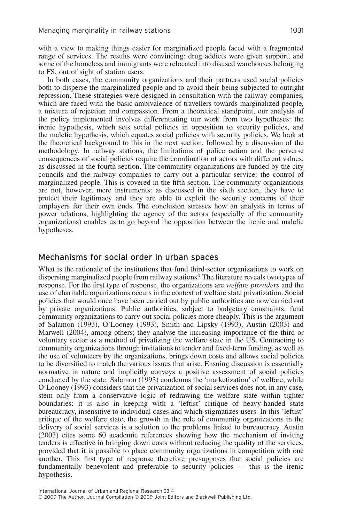with a view to making things easier for marginalized people faced with a fragmented range of services. The results were convincing: drug addicts were given support, and some of the homeless and immigrants were relocated into disused warehouses belonging to FS, out of sight of station users.

In both cases, the community organizations and their partners used social policies both to disperse the marginalized people and to avoid their being subjected to outright repression. These strategies were designed in consultation with the railway companies, which are faced with the basic ambivalence of travellers towards marginalized people, a mixture of rejection and compassion. From a theoretical standpoint, our analysis of the policy implemented involves differentiating our work from two hypotheses: the irenic hypothesis, which sets social policies in opposition to security policies, and the malefic hypothesis, which equates social policies with security policies. We look at the theoretical background to this in the next section, followed by a discussion of the methodology. In railway stations, the limitations of police action and the perverse consequences of social policies require the coordination of actors with different values, as discussed in the fourth section. The community organizations are funded by the city councils and the railway companies to carry out a particular service: the control of marginalized people. This is covered in the fifth section. The community organizations are not, however, mere instruments: as discussed in the sixth section, they have to protect their legitimacy and they are able to exploit the security concerns of their employers for their own ends. The conclusion stresses how an analysis in terms of power relations, highlighting the agency of the actors (especially of the community organizations) enables us to go beyond the opposition between the irenic and malefic hypotheses.

## Mechanisms for social order in urban spaces

What is the rationale of the institutions that fund third-sector organizations to work on dispersing marginalized people from railway stations? The literature reveals two types of response. For the first type of response, the organizations are *welfare providers* and the use of charitable organizations occurs in the context of welfare state privatization. Social policies that would once have been carried out by public authorities are now carried out by private organizations. Public authorities, subject to budgetary constraints, fund community organizations to carry out social policies more cheaply. This is the argument of Salamon (1993), O'Looney (1993), Smith and Lipsky (1993), Austin (2003) and Marwell (2004), among others; they analyse the increasing importance of the third or voluntary sector as a method of privatizing the welfare state in the US. Contracting to community organizations through invitations to tender and fixed-term funding, as well as the use of volunteers by the organizations, brings down costs and allows social policies to be diversified to match the various issues that arise. Ensuing discussion is essentially normative in nature and implicitly conveys a positive assessment of social policies conducted by the state: Salamon (1993) condemns the 'marketization' of welfare, while O'Looney (1993) considers that the privatization of social services does not, in any case, stem only from a conservative logic of redrawing the welfare state within tighter boundaries: it is also in keeping with a 'leftist' critique of heavy-handed state bureaucracy, insensitive to individual cases and which stigmatizes users. In this 'leftist' critique of the welfare state, the growth in the role of community organizations in the delivery of social services is a solution to the problems linked to bureaucracy. Austin (2003) cites some 60 academic references showing how the mechanism of inviting tenders is effective in bringing down costs without reducing the quality of the services, provided that it is possible to place community organizations in competition with one another. This first type of response therefore presupposes that social policies are fundamentally benevolent and preferable to security policies — this is the irenic hypothesis.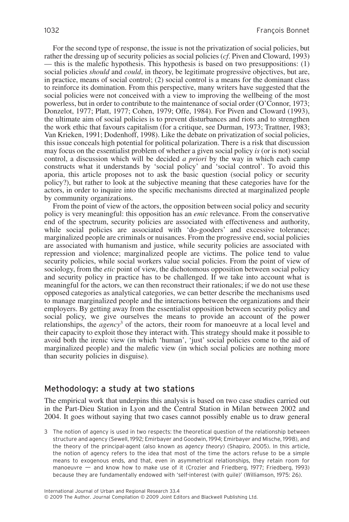For the second type of response, the issue is not the privatization of social policies, but rather the dressing up of security policies as social policies (*cf*. Piven and Cloward, 1993) — this is the malefic hypothesis. This hypothesis is based on two presuppositions: (1) social policies *should* and *could*, in theory, be legitimate progressive objectives, but are, in practice, means of social control; (2) social control is a means for the dominant class to reinforce its domination. From this perspective, many writers have suggested that the social policies were not conceived with a view to improving the wellbeing of the most powerless, but in order to contribute to the maintenance of social order (O'Connor, 1973; Donzelot, 1977; Platt, 1977; Cohen, 1979; Offe, 1984). For Piven and Cloward (1993), the ultimate aim of social policies is to prevent disturbances and riots and to strengthen the work ethic that favours capitalism (for a critique, see Durman, 1973; Trattner, 1983; Van Krieken, 1991; Dodenhoff, 1998). Like the debate on privatization of social policies, this issue conceals high potential for political polarization. There is a risk that discussion may focus on the essentialist problem of whether a given social policy *is* (or is not) social control, a discussion which will be decided *a priori* by the way in which each camp constructs what it understands by 'social policy' and 'social control'. To avoid this aporia, this article proposes not to ask the basic question (social policy or security policy?), but rather to look at the subjective meaning that these categories have for the actors, in order to inquire into the specific mechanisms directed at marginalized people by community organizations.

From the point of view of the actors, the opposition between social policy and security policy is very meaningful: this opposition has an *emic* relevance. From the conservative end of the spectrum, security policies are associated with effectiveness and authority, while social policies are associated with 'do-gooders' and excessive tolerance; marginalized people are criminals or nuisances. From the progressive end, social policies are associated with humanism and justice, while security policies are associated with repression and violence; marginalized people are victims. The police tend to value security policies, while social workers value social policies. From the point of view of sociology, from the *etic* point of view, the dichotomous opposition between social policy and security policy in practice has to be challenged. If we take into account what is meaningful for the actors, we can then reconstruct their rationales; if we do not use these opposed categories as analytical categories, we can better describe the mechanisms used to manage marginalized people and the interactions between the organizations and their employers. By getting away from the essentialist opposition between security policy and social policy, we give ourselves the means to provide an account of the power relationships, the *agency*<sup>3</sup> of the actors, their room for manoeuvre at a local level and their capacity to exploit those they interact with. This strategy should make it possible to avoid both the irenic view (in which 'human', 'just' social policies come to the aid of marginalized people) and the malefic view (in which social policies are nothing more than security policies in disguise).

## Methodology: a study at two stations

The empirical work that underpins this analysis is based on two case studies carried out in the Part-Dieu Station in Lyon and the Central Station in Milan between 2002 and 2004. It goes without saying that two cases cannot possibly enable us to draw general

3 The notion of agency is used in two respects: the theoretical question of the relationship between structure and agency (Sewell, 1992; Emirbayer and Goodwin, 1994; Emirbayer and Mische, 1998), and the theory of the principal-agent (also known as *agency theory*) (Shapiro, 2005). In this article, the notion of agency refers to the idea that most of the time the actors refuse to be a simple means to exogenous ends, and that, even in asymmetrical relationships, they retain room for manoeuvre — and know how to make use of it (Crozier and Friedberg, 1977; Friedberg, 1993) because they are fundamentally endowed with 'self-interest (with guile)' (Williamson, 1975: 26).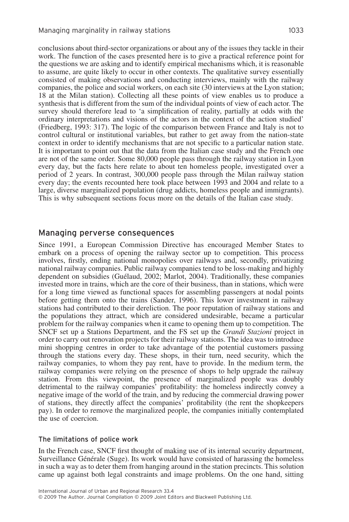conclusions about third-sector organizations or about any of the issues they tackle in their work. The function of the cases presented here is to give a practical reference point for the questions we are asking and to identify empirical mechanisms which, it is reasonable to assume, are quite likely to occur in other contexts. The qualitative survey essentially consisted of making observations and conducting interviews, mainly with the railway companies, the police and social workers, on each site (30 interviews at the Lyon station; 18 at the Milan station). Collecting all these points of view enables us to produce a synthesis that is different from the sum of the individual points of view of each actor. The survey should therefore lead to 'a simplification of reality, partially at odds with the ordinary interpretations and visions of the actors in the context of the action studied' (Friedberg, 1993: 317). The logic of the comparison between France and Italy is not to control cultural or institutional variables, but rather to get away from the nation-state context in order to identify mechanisms that are not specific to a particular nation state. It is important to point out that the data from the Italian case study and the French one are not of the same order. Some 80,000 people pass through the railway station in Lyon every day, but the facts here relate to about ten homeless people, investigated over a period of 2 years. In contrast, 300,000 people pass through the Milan railway station every day; the events recounted here took place between 1993 and 2004 and relate to a large, diverse marginalized population (drug addicts, homeless people and immigrants). This is why subsequent sections focus more on the details of the Italian case study.

#### Managing perverse consequences

Since 1991, a European Commission Directive has encouraged Member States to embark on a process of opening the railway sector up to competition. This process involves, firstly, ending national monopolies over railways and, secondly, privatizing national railway companies. Public railway companies tend to be loss-making and highly dependent on subsidies (Guélaud, 2002; Marlot, 2004). Traditionally, these companies invested more in trains, which are the core of their business, than in stations, which were for a long time viewed as functional spaces for assembling passengers at nodal points before getting them onto the trains (Sander, 1996). This lower investment in railway stations had contributed to their dereliction. The poor reputation of railway stations and the populations they attract, which are considered undesirable, became a particular problem for the railway companies when it came to opening them up to competition. The SNCF set up a Stations Department, and the FS set up the *Grandi Stazioni* project in order to carry out renovation projects for their railway stations. The idea was to introduce mini shopping centres in order to take advantage of the potential customers passing through the stations every day. These shops, in their turn, need security, which the railway companies, to whom they pay rent, have to provide. In the medium term, the railway companies were relying on the presence of shops to help upgrade the railway station. From this viewpoint, the presence of marginalized people was doubly detrimental to the railway companies' profitability: the homeless indirectly convey a negative image of the world of the train, and by reducing the commercial drawing power of stations, they directly affect the companies' profitability (the rent the shopkeepers pay). In order to remove the marginalized people, the companies initially contemplated the use of coercion.

#### The limitations of police work

In the French case, SNCF first thought of making use of its internal security department, Surveillance Générale (Suge). Its work would have consisted of harassing the homeless in such a way as to deter them from hanging around in the station precincts. This solution came up against both legal constraints and image problems. On the one hand, sitting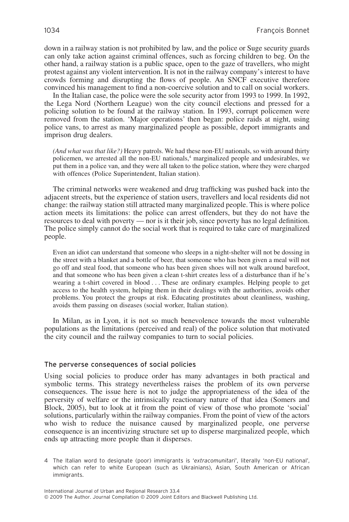down in a railway station is not prohibited by law, and the police or Suge security guards can only take action against criminal offences, such as forcing children to beg. On the other hand, a railway station is a public space, open to the gaze of travellers, who might protest against any violent intervention. It is not in the railway company's interest to have crowds forming and disrupting the flows of people. An SNCF executive therefore convinced his management to find a non-coercive solution and to call on social workers.

In the Italian case, the police were the sole security actor from 1993 to 1999. In 1992, the Lega Nord (Northern League) won the city council elections and pressed for a policing solution to be found at the railway station. In 1993, corrupt policemen were removed from the station. 'Major operations' then began: police raids at night, using police vans, to arrest as many marginalized people as possible, deport immigrants and imprison drug dealers.

*(And what was that like?)* Heavy patrols. We had these non-EU nationals, so with around thirty policemen, we arrested all the non-EU nationals,<sup>4</sup> marginalized people and undesirables, we put them in a police van, and they were all taken to the police station, where they were charged with offences (Police Superintendent, Italian station).

The criminal networks were weakened and drug trafficking was pushed back into the adjacent streets, but the experience of station users, travellers and local residents did not change: the railway station still attracted many marginalized people. This is where police action meets its limitations: the police can arrest offenders, but they do not have the resources to deal with poverty — nor is it their job, since poverty has no legal definition. The police simply cannot do the social work that is required to take care of marginalized people.

Even an idiot can understand that someone who sleeps in a night-shelter will not be dossing in the street with a blanket and a bottle of beer, that someone who has been given a meal will not go off and steal food, that someone who has been given shoes will not walk around barefoot, and that someone who has been given a clean t-shirt creates less of a disturbance than if he's wearing a t-shirt covered in blood... These are ordinary examples. Helping people to get access to the health system, helping them in their dealings with the authorities, avoids other problems. You protect the groups at risk. Educating prostitutes about cleanliness, washing, avoids them passing on diseases (social worker, Italian station).

In Milan, as in Lyon, it is not so much benevolence towards the most vulnerable populations as the limitations (perceived and real) of the police solution that motivated the city council and the railway companies to turn to social policies.

#### The perverse consequences of social policies

Using social policies to produce order has many advantages in both practical and symbolic terms. This strategy nevertheless raises the problem of its own perverse consequences. The issue here is not to judge the appropriateness of the idea of the perversity of welfare or the intrinsically reactionary nature of that idea (Somers and Block, 2005), but to look at it from the point of view of those who promote 'social' solutions, particularly within the railway companies. From the point of view of the actors who wish to reduce the nuisance caused by marginalized people, one perverse consequence is an incentivizing structure set up to disperse marginalized people, which ends up attracting more people than it disperses.

<sup>4</sup> The Italian word to designate (poor) immigrants is '*extracomunitari*', literally 'non-EU national', which can refer to white European (such as Ukrainians), Asian, South American or African immigrants.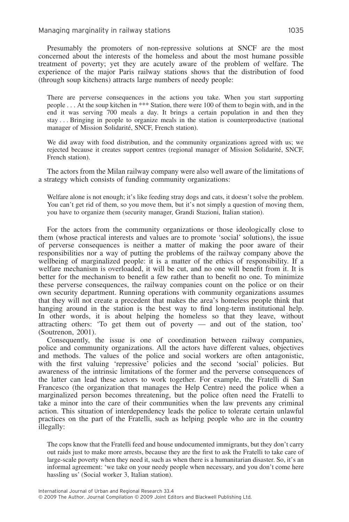Managing marginality in railway stations 1035

Presumably the promoters of non-repressive solutions at SNCF are the most concerned about the interests of the homeless and about the most humane possible treatment of poverty; yet they are acutely aware of the problem of welfare. The experience of the major Paris railway stations shows that the distribution of food (through soup kitchens) attracts large numbers of needy people:

There are perverse consequences in the actions you take. When you start supporting people . . . At the soup kitchen in \*\*\* Station, there were 100 of them to begin with, and in the end it was serving 700 meals a day. It brings a certain population in and then they stay . . . Bringing in people to organize meals in the station is counterproductive (national manager of Mission Solidarité, SNCF, French station).

We did away with food distribution, and the community organizations agreed with us; we rejected because it creates support centres (regional manager of Mission Solidarité, SNCF, French station).

The actors from the Milan railway company were also well aware of the limitations of a strategy which consists of funding community organizations:

Welfare alone is not enough; it's like feeding stray dogs and cats, it doesn't solve the problem. You can't get rid of them, so you move them, but it's not simply a question of moving them, you have to organize them (security manager, Grandi Stazioni, Italian station).

For the actors from the community organizations or those ideologically close to them (whose practical interests and values are to promote 'social' solutions), the issue of perverse consequences is neither a matter of making the poor aware of their responsibilities nor a way of putting the problems of the railway company above the wellbeing of marginalized people: it is a matter of the ethics of responsibility. If a welfare mechanism is overloaded, it will be cut, and no one will benefit from it. It is better for the mechanism to benefit a few rather than to benefit no one. To minimize these perverse consequences, the railway companies count on the police or on their own security department. Running operations with community organizations assumes that they will not create a precedent that makes the area's homeless people think that hanging around in the station is the best way to find long-term institutional help. In other words, it is about helping the homeless so that they leave, without attracting others: 'To get them out of poverty — and out of the station, too' (Soutrenon, 2001).

Consequently, the issue is one of coordination between railway companies, police and community organizations. All the actors have different values, objectives and methods. The values of the police and social workers are often antagonistic, with the first valuing 'repressive' policies and the second 'social' policies. But awareness of the intrinsic limitations of the former and the perverse consequences of the latter can lead these actors to work together. For example, the Fratelli di San Francesco (the organization that manages the Help Centre) need the police when a marginalized person becomes threatening, but the police often need the Fratelli to take a minor into the care of their communities when the law prevents any criminal action. This situation of interdependency leads the police to tolerate certain unlawful practices on the part of the Fratelli, such as helping people who are in the country illegally:

The cops know that the Fratelli feed and house undocumented immigrants, but they don't carry out raids just to make more arrests, because they are the first to ask the Fratelli to take care of large-scale poverty when they need it, such as when there is a humanitarian disaster. So, it's an informal agreement: 'we take on your needy people when necessary, and you don't come here hassling us' (Social worker 3, Italian station).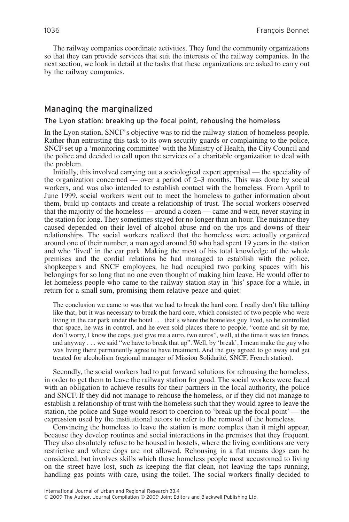The railway companies coordinate activities. They fund the community organizations so that they can provide services that suit the interests of the railway companies. In the next section, we look in detail at the tasks that these organizations are asked to carry out by the railway companies.

### Managing the marginalized

#### The Lyon station: breaking up the focal point, rehousing the homeless

In the Lyon station, SNCF's objective was to rid the railway station of homeless people. Rather than entrusting this task to its own security guards or complaining to the police, SNCF set up a 'monitoring committee' with the Ministry of Health, the City Council and the police and decided to call upon the services of a charitable organization to deal with the problem.

Initially, this involved carrying out a sociological expert appraisal — the speciality of the organization concerned — over a period of 2–3 months. This was done by social workers, and was also intended to establish contact with the homeless. From April to June 1999, social workers went out to meet the homeless to gather information about them, build up contacts and create a relationship of trust. The social workers observed that the majority of the homeless — around a dozen — came and went, never staying in the station for long. They sometimes stayed for no longer than an hour. The nuisance they caused depended on their level of alcohol abuse and on the ups and downs of their relationships. The social workers realized that the homeless were actually organized around one of their number, a man aged around 50 who had spent 19 years in the station and who 'lived' in the car park. Making the most of his total knowledge of the whole premises and the cordial relations he had managed to establish with the police, shopkeepers and SNCF employees, he had occupied two parking spaces with his belongings for so long that no one even thought of making him leave. He would offer to let homeless people who came to the railway station stay in 'his' space for a while, in return for a small sum, promising them relative peace and quiet:

The conclusion we came to was that we had to break the hard core. I really don't like talking like that, but it was necessary to break the hard core, which consisted of two people who were living in the car park under the hotel... that's where the homeless guy lived, so he controlled that space, he was in control, and he even sold places there to people, "come and sit by me, don't worry, I know the cops, just give me a euro, two euros", well, at the time it was ten francs, and anyway . . . we said "we have to break that up". Well, by 'break', I mean make the guy who was living there permanently agree to have treatment. And the guy agreed to go away and get treated for alcoholism (regional manager of Mission Solidarité, SNCF, French station).

Secondly, the social workers had to put forward solutions for rehousing the homeless, in order to get them to leave the railway station for good. The social workers were faced with an obligation to achieve results for their partners in the local authority, the police and SNCF. If they did not manage to rehouse the homeless, or if they did not manage to establish a relationship of trust with the homeless such that they would agree to leave the station, the police and Suge would resort to coercion to 'break up the focal point' — the expression used by the institutional actors to refer to the removal of the homeless.

Convincing the homeless to leave the station is more complex than it might appear, because they develop routines and social interactions in the premises that they frequent. They also absolutely refuse to be housed in hostels, where the living conditions are very restrictive and where dogs are not allowed. Rehousing in a flat means dogs can be considered, but involves skills which those homeless people most accustomed to living on the street have lost, such as keeping the flat clean, not leaving the taps running, handling gas points with care, using the toilet. The social workers finally decided to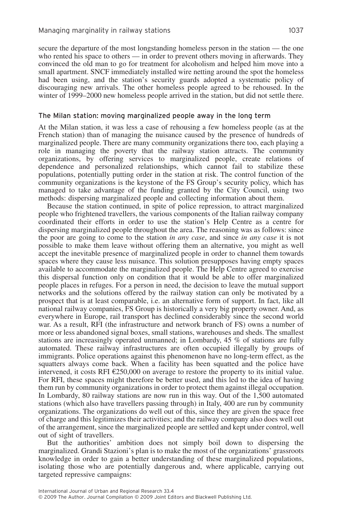secure the departure of the most longstanding homeless person in the station — the one who rented his space to others — in order to prevent others moving in afterwards. They convinced the old man to go for treatment for alcoholism and helped him move into a small apartment. SNCF immediately installed wire netting around the spot the homeless had been using, and the station's security guards adopted a systematic policy of discouraging new arrivals. The other homeless people agreed to be rehoused. In the winter of 1999–2000 new homeless people arrived in the station, but did not settle there.

#### The Milan station: moving marginalized people away in the long term

At the Milan station, it was less a case of rehousing a few homeless people (as at the French station) than of managing the nuisance caused by the presence of hundreds of marginalized people. There are many community organizations there too, each playing a role in managing the poverty that the railway station attracts. The community organizations, by offering services to marginalized people, create relations of dependence and personalized relationships, which cannot fail to stabilize these populations, potentially putting order in the station at risk. The control function of the community organizations is the keystone of the FS Group's security policy, which has managed to take advantage of the funding granted by the City Council, using two methods: dispersing marginalized people and collecting information about them.

Because the station continued, in spite of police repression, to attract marginalized people who frightened travellers, the various components of the Italian railway company coordinated their efforts in order to use the station's Help Centre as a centre for dispersing marginalized people throughout the area. The reasoning was as follows: since the poor are going to come to the station *in any case*, and since *in any case* it is not possible to make them leave without offering them an alternative, you might as well accept the inevitable presence of marginalized people in order to channel them towards spaces where they cause less nuisance. This solution presupposes having empty spaces available to accommodate the marginalized people. The Help Centre agreed to exercise this dispersal function only on condition that it would be able to offer marginalized people places in refuges. For a person in need, the decision to leave the mutual support networks and the solutions offered by the railway station can only be motivated by a prospect that is at least comparable, i.e. an alternative form of support. In fact, like all national railway companies, FS Group is historically a very big property owner. And, as everywhere in Europe, rail transport has declined considerably since the second world war. As a result, RFI (the infrastructure and network branch of FS) owns a number of more or less abandoned signal boxes, small stations, warehouses and sheds. The smallest stations are increasingly operated unmanned; in Lombardy, 45 % of stations are fully automated. These railway infrastructures are often occupied illegally by groups of immigrants. Police operations against this phenomenon have no long-term effect, as the squatters always come back. When a facility has been squatted and the police have intervened, it costs RFI €250,000 on average to restore the property to its initial value. For RFI, these spaces might therefore be better used, and this led to the idea of having them run by community organizations in order to protect them against illegal occupation. In Lombardy, 80 railway stations are now run in this way. Out of the 1,500 automated stations (which also have travellers passing through) in Italy, 400 are run by community organizations. The organizations do well out of this, since they are given the space free of charge and this legitimizes their activities; and the railway company also does well out of the arrangement, since the marginalized people are settled and kept under control, well out of sight of travellers.

But the authorities' ambition does not simply boil down to dispersing the marginalized. Grandi Stazioni's plan is to make the most of the organizations' grassroots knowledge in order to gain a better understanding of these marginalized populations, isolating those who are potentially dangerous and, where applicable, carrying out targeted repressive campaigns: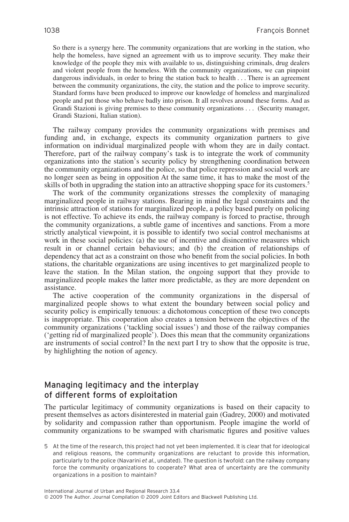So there is a synergy here. The community organizations that are working in the station, who help the homeless, have signed an agreement with us to improve security. They make their knowledge of the people they mix with available to us, distinguishing criminals, drug dealers and violent people from the homeless. With the community organizations, we can pinpoint dangerous individuals, in order to bring the station back to health... There is an agreement between the community organizations, the city, the station and the police to improve security. Standard forms have been produced to improve our knowledge of homeless and marginalized people and put those who behave badly into prison. It all revolves around these forms. And as Grandi Stazioni is giving premises to these community organizations... (Security manager, Grandi Stazioni, Italian station).

The railway company provides the community organizations with premises and funding and, in exchange, expects its community organization partners to give information on individual marginalized people with whom they are in daily contact. Therefore, part of the railway company's task is to integrate the work of community organizations into the station's security policy by strengthening coordination between the community organizations and the police, so that police repression and social work are no longer seen as being in opposition At the same time, it has to make the most of the skills of both in upgrading the station into an attractive shopping space for its customers.<sup>5</sup>

The work of the community organizations stresses the complexity of managing marginalized people in railway stations. Bearing in mind the legal constraints and the intrinsic attraction of stations for marginalized people, a policy based purely on policing is not effective. To achieve its ends, the railway company is forced to practise, through the community organizations, a subtle game of incentives and sanctions. From a more strictly analytical viewpoint, it is possible to identify two social control mechanisms at work in these social policies: (a) the use of incentive and disincentive measures which result in or channel certain behaviours; and (b) the creation of relationships of dependency that act as a constraint on those who benefit from the social policies. In both stations, the charitable organizations are using incentives to get marginalized people to leave the station. In the Milan station, the ongoing support that they provide to marginalized people makes the latter more predictable, as they are more dependent on assistance.

The active cooperation of the community organizations in the dispersal of marginalized people shows to what extent the boundary between social policy and security policy is empirically tenuous: a dichotomous conception of these two concepts is inappropriate. This cooperation also creates a tension between the objectives of the community organizations ('tackling social issues') and those of the railway companies ('getting rid of marginalized people'). Does this mean that the community organizations are instruments of social control? In the next part I try to show that the opposite is true, by highlighting the notion of agency.

# Managing legitimacy and the interplay of different forms of exploitation

The particular legitimacy of community organizations is based on their capacity to present themselves as actors disinterested in material gain (Gadrey, 2000) and motivated by solidarity and compassion rather than opportunism. People imagine the world of community organizations to be swamped with charismatic figures and positive values

5 At the time of the research, this project had not yet been implemented. It is clear that for ideological and religious reasons, the community organizations are reluctant to provide this information, particularly to the police (Navarini *et al.*, undated). The question is twofold: can the railway company force the community organizations to cooperate? What area of uncertainty are the community organizations in a position to maintain?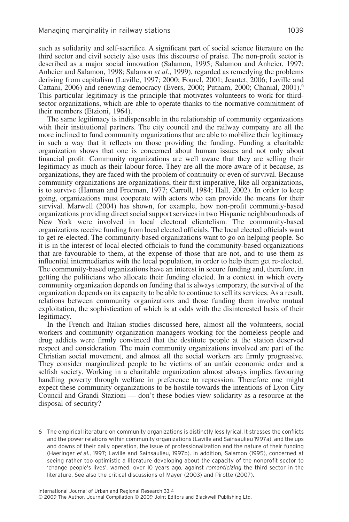such as solidarity and self-sacrifice. A significant part of social science literature on the third sector and civil society also uses this discourse of praise. The non-profit sector is described as a major social innovation (Salamon, 1995; Salamon and Anheier, 1997; Anheier and Salamon, 1998; Salamon *et al.*, 1999), regarded as remedying the problems deriving from capitalism (Laville, 1997; 2000; Fourel, 2001; Jeantet, 2006; Laville and Cattani, 2006) and renewing democracy (Evers, 2000; Putnam, 2000; Chanial, 2001).<sup>6</sup> This particular legitimacy is the principle that motivates volunteers to work for thirdsector organizations, which are able to operate thanks to the normative commitment of their members (Etzioni, 1964).

The same legitimacy is indispensable in the relationship of community organizations with their institutional partners. The city council and the railway company are all the more inclined to fund community organizations that are able to mobilize their legitimacy in such a way that it reflects on those providing the funding. Funding a charitable organization shows that one is concerned about human issues and not only about financial profit. Community organizations are well aware that they are selling their legitimacy as much as their labour force. They are all the more aware of it because, as organizations, they are faced with the problem of continuity or even of survival. Because community organizations are organizations, their first imperative, like all organizations, is to survive (Hannan and Freeman, 1977; Carroll, 1984; Hall, 2002). In order to keep going, organizations must cooperate with actors who can provide the means for their survival. Marwell (2004) has shown, for example, how non-profit community-based organizations providing direct social support services in two Hispanic neighbourhoods of New York were involved in local electoral clientelism. The community-based organizations receive funding from local elected officials. The local elected officials want to get re-elected. The community-based organizations want to go on helping people. So it is in the interest of local elected officials to fund the community-based organizations that are favourable to them, at the expense of those that are not, and to use them as influential intermediaries with the local population, in order to help them get re-elected. The community-based organizations have an interest in secure funding and, therefore, in getting the politicians who allocate their funding elected. In a context in which every community organization depends on funding that is always temporary, the survival of the organization depends on its capacity to be able to continue to sell its services. As a result, relations between community organizations and those funding them involve mutual exploitation, the sophistication of which is at odds with the disinterested basis of their legitimacy.

In the French and Italian studies discussed here, almost all the volunteers, social workers and community organization managers working for the homeless people and drug addicts were firmly convinced that the destitute people at the station deserved respect and consideration. The main community organizations involved are part of the Christian social movement, and almost all the social workers are firmly progressive. They consider marginalized people to be victims of an unfair economic order and a selfish society. Working in a charitable organization almost always implies favouring handling poverty through welfare in preference to repression. Therefore one might expect these community organizations to be hostile towards the intentions of Lyon City Council and Grandi Stazioni — don't these bodies view solidarity as a resource at the disposal of security?

6 The empirical literature on community organizations is distinctly less lyrical. It stresses the conflicts and the power relations within community organizations (Laville and Sainsaulieu 1997a), and the ups and downs of their daily operation, the issue of professionalization and the nature of their funding (Haeringer *et al.*, 1997; Laville and Sainsaulieu, 1997b). In addition, Salamon (1995), concerned at seeing rather too optimistic a literature developing about the capacity of the nonprofit sector to 'change people's lives', warned, over 10 years ago, against *romanticizing* the third sector in the literature. See also the critical discussions of Mayer (2003) and Pirotte (2007).

International Journal of Urban and Regional Research 33.4 © 2009 The Author. Journal Compilation © 2009 Joint Editors and Blackwell Publishing Ltd.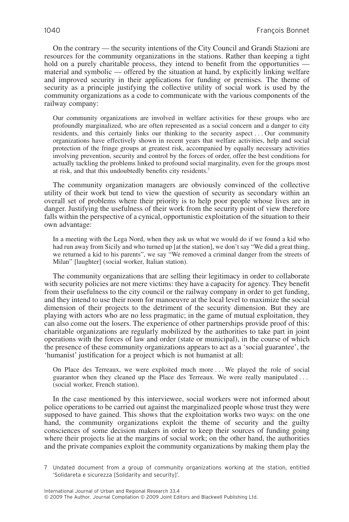On the contrary — the security intentions of the City Council and Grandi Stazioni are resources for the community organizations in the stations. Rather than keeping a tight hold on a purely charitable process, they intend to benefit from the opportunities material and symbolic — offered by the situation at hand, by explicitly linking welfare and improved security in their applications for funding or premises. The theme of security as a principle justifying the collective utility of social work is used by the community organizations as a code to communicate with the various components of the railway company:

Our community organizations are involved in welfare activities for these groups who are profoundly marginalized, who are often represented as a social concern and a danger to city residents, and this certainly links our thinking to the security aspect . . . Our community organizations have effectively shown in recent years that welfare activities, help and social protection of the fringe groups at greatest risk, accompanied by equally necessary activities involving prevention, security and control by the forces of order, offer the best conditions for actually tackling the problems linked to profound social marginality, even for the groups most at risk, and that this undoubtedly benefits city residents.7

The community organization managers are obviously convinced of the collective utility of their work but tend to view the question of security as secondary within an overall set of problems where their priority is to help poor people whose lives are in danger. Justifying the usefulness of their work from the security point of view therefore falls within the perspective of a cynical, opportunistic exploitation of the situation to their own advantage:

In a meeting with the Lega Nord, when they ask us what we would do if we found a kid who had run away from Sicily and who turned up [at the station], we don't say "We did a great thing, we returned a kid to his parents", we say "We removed a criminal danger from the streets of Milan" [laughter] (social worker, Italian station).

The community organizations that are selling their legitimacy in order to collaborate with security policies are not mere victims: they have a capacity for agency. They benefit from their usefulness to the city council or the railway company in order to get funding, and they intend to use their room for manoeuvre at the local level to maximize the social dimension of their projects to the detriment of the security dimension. But they are playing with actors who are no less pragmatic; in the game of mutual exploitation, they can also come out the losers. The experience of other partnerships provide proof of this: charitable organizations are regularly mobilized by the authorities to take part in joint operations with the forces of law and order (state or municipal), in the course of which the presence of these community organizations appears to act as a 'social guarantee', the 'humanist' justification for a project which is not humanist at all:

On Place des Terreaux, we were exploited much more . . . We played the role of social guarantor when they cleaned up the Place des Terreaux. We were really manipulated... (social worker, French station).

In the case mentioned by this interviewee, social workers were not informed about police operations to be carried out against the marginalized people whose trust they were supposed to have gained. This shows that the exploitation works two ways: on the one hand, the community organizations exploit the theme of security and the guilty consciences of some decision makers in order to keep their sources of funding going where their projects lie at the margins of social work; on the other hand, the authorities and the private companies exploit the community organizations by making them play the

<sup>7</sup> Undated document from a group of community organizations working at the station, entitled 'Solidareta e sicurezza [Solidarity and security]'.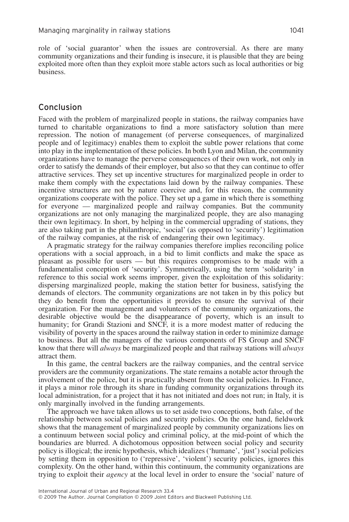role of 'social guarantor' when the issues are controversial. As there are many community organizations and their funding is insecure, it is plausible that they are being exploited more often than they exploit more stable actors such as local authorities or big business.

## Conclusion

Faced with the problem of marginalized people in stations, the railway companies have turned to charitable organizations to find a more satisfactory solution than mere repression. The notion of management (of perverse consequences, of marginalized people and of legitimacy) enables them to exploit the subtle power relations that come into play in the implementation of these policies. In both Lyon and Milan, the community organizations have to manage the perverse consequences of their own work, not only in order to satisfy the demands of their employer, but also so that they can continue to offer attractive services. They set up incentive structures for marginalized people in order to make them comply with the expectations laid down by the railway companies. These incentive structures are not by nature coercive and, for this reason, the community organizations cooperate with the police. They set up a game in which there is something for everyone — marginalized people and railway companies. But the community organizations are not only managing the marginalized people, they are also managing their own legitimacy. In short, by helping in the commercial upgrading of stations, they are also taking part in the philanthropic, 'social' (as opposed to 'security') legitimation of the railway companies, at the risk of endangering their own legitimacy.

A pragmatic strategy for the railway companies therefore implies reconciling police operations with a social approach, in a bid to limit conflicts and make the space as pleasant as possible for users — but this requires compromises to be made with a fundamentalist conception of 'security'. Symmetrically, using the term 'solidarity' in reference to this social work seems improper, given the exploitation of this solidarity: dispersing marginalized people, making the station better for business, satisfying the demands of electors. The community organizations are not taken in by this policy but they do benefit from the opportunities it provides to ensure the survival of their organization. For the management and volunteers of the community organizations, the desirable objective would be the disappearance of poverty, which is an insult to humanity; for Grandi Stazioni and SNCF, it is a more modest matter of reducing the visibility of poverty in the spaces around the railway station in order to minimize damage to business. But all the managers of the various components of FS Group and SNCF know that there will *always* be marginalized people and that railway stations will *always* attract them.

In this game, the central backers are the railway companies, and the central service providers are the community organizations. The state remains a notable actor through the involvement of the police, but it is practically absent from the social policies. In France, it plays a minor role through its share in funding community organizations through its local administration, for a project that it has not initiated and does not run; in Italy, it is only marginally involved in the funding arrangements.

The approach we have taken allows us to set aside two conceptions, both false, of the relationship between social policies and security policies. On the one hand, fieldwork shows that the management of marginalized people by community organizations lies on a continuum between social policy and criminal policy, at the mid-point of which the boundaries are blurred. A dichotomous opposition between social policy and security policy is illogical; the irenic hypothesis, which idealizes ('humane', 'just') social policies by setting them in opposition to ('repressive', 'violent') security policies, ignores this complexity. On the other hand, within this continuum, the community organizations are trying to exploit their *agency* at the local level in order to ensure the 'social' nature of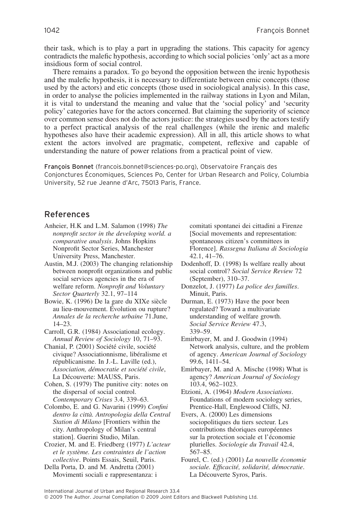their task, which is to play a part in upgrading the stations. This capacity for agency contradicts the malefic hypothesis, according to which social policies 'only' act as a more insidious form of social control.

There remains a paradox. To go beyond the opposition between the irenic hypothesis and the malefic hypothesis, it is necessary to differentiate between emic concepts (those used by the actors) and etic concepts (those used in sociological analysis). In this case, in order to analyse the policies implemented in the railway stations in Lyon and Milan, it is vital to understand the meaning and value that the 'social policy' and 'security policy' categories have for the actors concerned. But claiming the superiority of science over common sense does not do the actors justice: the strategies used by the actors testify to a perfect practical analysis of the real challenges (while the irenic and malefic hypotheses also have their academic expression). All in all, this article shows to what extent the actors involved are pragmatic, competent, reflexive and capable of understanding the nature of power relations from a practical point of view.

François Bonnet (francois.bonnet@sciences-po.org), Observatoire Français des Conjonctures Économiques, Sciences Po, Center for Urban Research and Policy, Columbia University, 52 rue Jeanne d'Arc, 75013 Paris, France.

# References

- Anheier, H.K and L.M. Salamon (1998) *The nonprofit sector in the developing world. a comparative analysis*. Johns Hopkins Nonprofit Sector Series, Manchester University Press, Manchester.
- Austin, M.J. (2003) The changing relationship between nonprofit organizations and public social services agencies in the era of welfare reform. *Nonprofit and Voluntary Sector Quarterly* 32.1, 97–114
- Bowie, K. (1996) De la gare du XIXe siècle au lieu-mouvement. Évolution ou rupture? *Annales de la recherche urbaine* 71.June, 14–23.
- Carroll, G.R. (1984) Associational ecology. *Annual Review of Sociology* 10, 71–93.
- Chanial, P. (2001) Société civile, société civique? Associationnisme, libéralisme et républicanisme. In J.-L. Laville (ed.), *Association, démocratie et société civile*, La Découverte: MAUSS, Paris.

Cohen, S. (1979) The punitive city: notes on the dispersal of social control. *Contemporary Crises* 3.4, 339–63.

Colombo, E. and G. Navarini (1999) *Confini dentro la città. Antropologia della Central Station di Milano* [Frontiers within the city. Anthropology of Milan's central station]. Guerini Studio, Milan.

Crozier, M. and E. Friedberg (1977) *L'acteur et le système. Les contraintes de l'action collective*. Points Essais, Seuil, Paris.

Della Porta, D. and M. Andretta (2001) Movimenti sociali e rappresentanza: i comitati spontanei dei cittadini a Firenze [Social movements and representation: spontaneous citizen's committees in Florence]. *Rassegna Italiana di Sociologia* 42.1, 41–76.

- Dodenhoff, D. (1998) Is welfare really about social control? *Social Service Review* 72 (September), 310–37.
- Donzelot, J. (1977) *La police des familles*. Minuit, Paris.

Durman, E. (1973) Have the poor been regulated? Toward a multivariate understanding of welfare growth. *Social Service Review* 47.3, 339–59.

Emirbayer, M. and J. Goodwin (1994) Network analysis, culture, and the problem of agency. *American Journal of Sociology* 99.6, 1411–54.

Emirbayer, M. and A. Mische (1998) What is agency? *American Journal of Sociology* 103.4, 962–1023.

Etzioni, A. (1964) *Modern Associations*. Foundations of modern sociology series, Prentice-Hall, Englewood Cliffs, NJ.

Evers, A. (2000) Les dimensions sociopolitiques du tiers secteur. Les contributions théoriques européennes sur la protection sociale et l'économie plurielles. *Sociologie du Travail* 42.4, 567–85.

Fourel, C. (ed.) (2001) *La nouvelle économie sociale. Efficacité, solidarité, démocratie*. La Découverte Syros, Paris.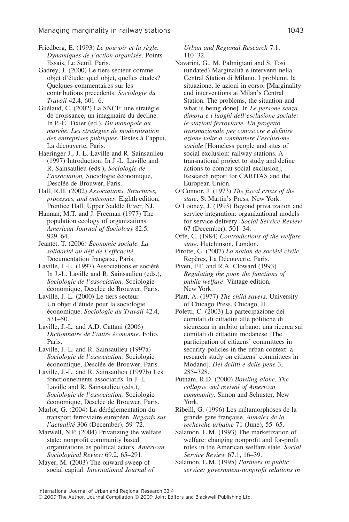Friedberg, E. (1993) *Le pouvoir et la règle. Dynamiques de l'action organisée*. Points Essais, Le Seuil, Paris.

Gadrey, J. (2000) Le tiers secteur comme objet d'étude: quel objet, quelles études? Quelques commentaires sur les contributions precedents. *Sociologie du Travail* 42.4, 601–6.

Guélaud, C. (2002) La SNCF: une stratégie de croissance, un imaginaire du decline. In P.-É. Tixier (ed.), *Du monopole au marché. Les stratégies de modernisation des entreprises publiques*, Textes à l'appui, La découverte, Paris.

Haeringer J., J.-L. Laville and R. Sainsaulieu (1997) Introduction. In J.-L. Laville and R. Sainsaulieu (eds.), *Sociologie de l'association,* Sociologie économique, Desclée de Brouwer, Paris.

Hall, R.H. (2002) *Associations. Structures, processes, and outcomes*. Eighth edition, Prentice Hall, Upper Saddle River, NJ.

Hannan, M.T. and J. Freeman (1977) The population ecology of organizations. *American Journal of Sociology* 82.5, 929–64.

Jeantet, T. (2006) *Économie sociale. La solidarité au défi de l'efficacité*. Documentation française, Paris.

Laville, J.-L. (1997) Associations et société. In J.-L. Laville and R. Sainsaulieu (eds.), *Sociologie de l'association,* Sociologie économique, Desclée de Brouwer, Paris.

Laville, J.-L. (2000) Le tiers secteur. Un objet d'étude pour la sociologie économique. *Sociologie du Travail* 42.4, 531–50.

Laville, J.-L. and A.D. Cattani (2006) *Dictionnaire de l'autre économie*. Folio, Paris.

Laville, J.-L. and R. Sainsaulieu (1997a) *Sociologie de l'association.* Sociologie économique, Desclée de Brouwer, Paris.

Laville, J.-L. and R. Sainsaulieu (1997b) Les fonctionnements associatifs. In J.-L. Laville and R. Sainsaulieu (eds.), *Sociologie de l'association,* Sociologie économique, Desclée de Brouwer, Paris.

Marlot, G. (2004) La déréglementation du transport ferroviaire européen. *Regards sur l'actualité* 306 (December), 59–72.

Marwell, N.P. (2004) Privatizing the welfare state: nonprofit community based organizations as political actors. *American Sociological Review* 69.2, 65–291.

Mayer, M. (2003) The onward sweep of social capital. *International Journal of* *Urban and Regional Research* 7.1, 110–32.

- Navarini, G., M. Palmigiani and S. Tosi (undated) Marginalità e interventi nella Central Station di Milano. I problemi, la situazione, le azioni in corso. [Marginality and interventions at Milan's Central Station. The problems, the situation and what is being done]. In *Le persone senza dimora e i luoghi dell'esclusione sociale: le stazioni ferroviarie. Un progetto transnazionale per conoscere e definire azione volte a combattere l'esclusione sociale* [Homeless people and sites of social exclusion: railway stations. A transnational project to study and define actions to combat social exclusion], Research report for CARITAS and the European Union.
- O'Connor, J. (1973) *The fiscal crisis of the state*. St Martin's Press, New York.
- O'Looney, J. (1993) Beyond privatization and service integration: organizational models for service delivery. *Social Service Review* 67 (December), 501–34.

Offe, C. (1984) *Contradictions of the welfare state*. Hutchinson, London.

Pirotte, G. (2007) *La notion de société civile*. Repères, La Découverte, Paris.

Piven, F.F. and R.A. Cloward (1993) *Regulating the poor. the functions of public welfare*. Vintage edition, New York.

- Platt, A. (1977) *The child savers*. University of Chicago Press, Chicago, IL.
- Poletti, C. (2003) La partecipazione dei comitati di cittadini alle politiche di sicurezza in ambito urbano: una ricerca sui comitati di cittadini modanese [The participation of citizens' committees in security policies in the urban context: a research study on citizens' committees in Modano]. *Dei delitti e delle pene* 3, 285–328.
- Putnam, R.D. (2000) *Bowling alone. The collapse and revival of American community*. Simon and Schuster, New York.
- Ribeill, G. (1996) Les métamorphoses de la grande gare française. *Annales de la recherche urbaine* 71 (June), 55–65.

Salamon, L.M. (1993) The marketization of welfare: changing nonprofit and for-profit roles in the American welfare state. *Social Service Review* 67.1, 16–39.

Salamon, L.M. (1995) *Partners in public service: government-nonprofit relations in*

<sup>© 2009</sup> The Author. Journal Compilation © 2009 Joint Editors and Blackwell Publishing Ltd.